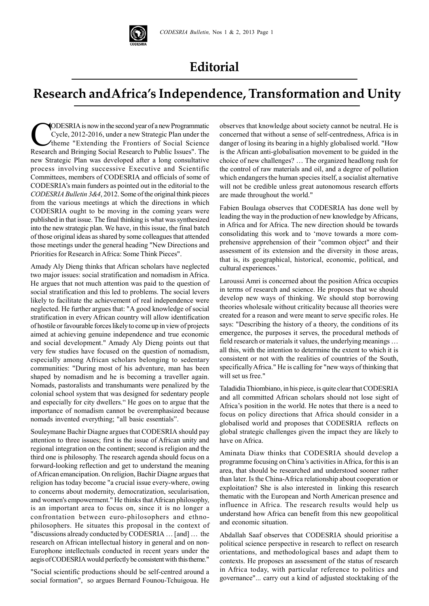

## **Editorial**

## **Research andAfrica's Independence, Transformation and Unity**

**CODESRIA** is now in the second year of a new Programmatic<br>Cycle, 2012-2016, under a new Strategic Plan under the<br>theme "Extending the Frontiers of Social Science"<br>Research and Bringing Social Research to Public Issues" Th Cycle, 2012-2016, under a new Strategic Plan under the theme "Extending the Frontiers of Social Science Research and Bringing Social Research to Public Issues". The new Strategic Plan was developed after a long consultative process involving successive Executive and Scientific Committees, members of CODESRIA and officials of some of CODESRIA's main funders as pointed out in the editorial to the *CODESRIA Bulletin 3&4*, 2012. Some of the original think pieces from the various meetings at which the directions in which CODESRIA ought to be moving in the coming years were published in that issue. The final thinking is what was synthesized into the new strategic plan. We have, in this issue, the final batch of those original ideas as shared by some colleagues that attended those meetings under the general heading "New Directions and Priorities for Research in Africa: Some Think Pieces".

Amady Aly Dieng thinks that African scholars have neglected two major issues: social stratification and nomadism in Africa. He argues that not much attention was paid to the question of social stratification and this led to problems. The social levers likely to facilitate the achievement of real independence were neglected. He further argues that: "A good knowledge of social stratification in every African country will allow identification of hostile or favourable forces likely to come up in view of projects aimed at achieving genuine independence and true economic and social development." Amady Aly Dieng points out that very few studies have focused on the question of nomadism, especially among African scholars belonging to sedentary communities: "During most of his adventure, man has been shaped by nomadism and he is becoming a traveller again. Nomads, pastoralists and transhumants were penalized by the colonial school system that was designed for sedentary people and especially for city dwellers." He goes on to argue that the importance of nomadism cannot be overemphasized because nomads invented everything; "all basic essentials".

Souleymane Bachir Diagne argues that CODESRIA should pay attention to three issues; first is the issue of African unity and regional integration on the continent; second is religion and the third one is philosophy. The research agenda should focus on a forward-looking reflection and get to understand the meaning of African emancipation. On religion, Bachir Diagne argues that religion has today become "a crucial issue every-where, owing to concerns about modernity, democratization, secularisation, and women's empowerment." He thinks that African philosophy, is an important area to focus on, since it is no longer a confrontation between euro-philosophers and ethnophilosophers. He situates this proposal in the context of "discussions already conducted by CODESRIA … [and] … the research on African intellectual history in general and on non-Europhone intellectuals conducted in recent years under the aegis of CODESRIA would perfectly be consistent with this theme."

"Social scientific productions should be self-centred around a social formation", so argues Bernard Founou-Tchuigoua. He observes that knowledge about society cannot be neutral. He is concerned that without a sense of self-centredness, Africa is in danger of losing its bearing in a highly globalised world. "How is the African anti-globalisation movement to be guided in the choice of new challenges? … The organized headlong rush for the control of raw materials and oil, and a degree of pollution which endangers the human species itself, a socialist alternative will not be credible unless great autonomous research efforts are made throughout the world."

Fabien Boulaga observes that CODESRIA has done well by leading the way in the production of new knowledge by Africans, in Africa and for Africa. The new direction should be towards consolidating this work and to 'move towards a more comprehensive apprehension of their "common object" and their assessment of its extension and the diversity in those areas, that is, its geographical, historical, economic, political, and cultural experiences.'

Laroussi Amri is concerned about the position Africa occupies in terms of research and science. He proposes that we should develop new ways of thinking. We should stop borrowing theories wholesale without criticality because all theories were created for a reason and were meant to serve specific roles. He says: "Describing the history of a theory, the conditions of its emergence, the purposes it serves, the procedural methods of field research or materials it values, the underlying meanings … all this, with the intention to determine the extent to which it is consistent or not with the realities of countries of the South, specifically Africa." He is calling for "new ways of thinking that will set us free."

Taladidia Thiombiano, in his piece, is quite clear that CODESRIA and all committed African scholars should not lose sight of Africa's position in the world. He notes that there is a need to focus on policy directions that Africa should consider in a globalised world and proposes that CODESRIA reflects on global strategic challenges given the impact they are likely to have on Africa.

Aminata Diaw thinks that CODESRIA should develop a programme focusing on China's activities in Africa, for this is an area, that should be researched and understood sooner rather than later. Is the China-Africa relationship about cooperation or exploitation? She is also interested in linking this research thematic with the European and North American presence and influence in Africa. The research results would help us understand how Africa can benefit from this new geopolitical and economic situation.

Abdallah Saaf observes that CODESRIA should prioritise a political science perspective in research to reflect on research orientations, and methodological bases and adapt them to contexts. He proposes an assessment of the status of research in Africa today, with particular reference to politics and governance"... carry out a kind of adjusted stocktaking of the